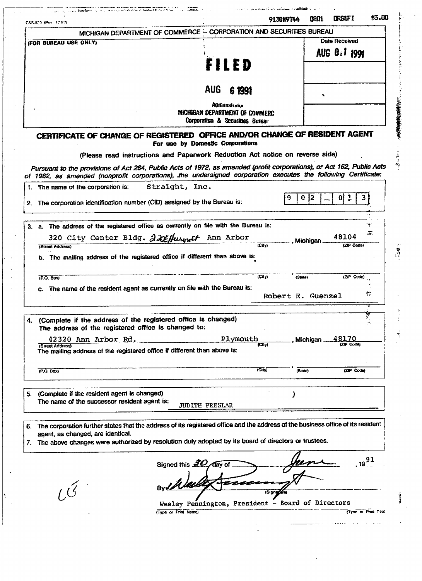|                      | C&S-520 (Pox 12.83)                                                                                                                                                  |                                                                           |                                                                             | 9130H9744         | 0801             | LIRG&F I      |                     | \$5.00 |  |  |
|----------------------|----------------------------------------------------------------------------------------------------------------------------------------------------------------------|---------------------------------------------------------------------------|-----------------------------------------------------------------------------|-------------------|------------------|---------------|---------------------|--------|--|--|
|                      | MICHIGAN DEPARTMENT OF COMMERCE - CORPORATION AND SECURITIES BUREAU                                                                                                  |                                                                           |                                                                             |                   |                  |               |                     |        |  |  |
|                      | (FOR BUREAU USE ONLY)                                                                                                                                                |                                                                           |                                                                             |                   |                  | Date Received |                     |        |  |  |
|                      |                                                                                                                                                                      |                                                                           |                                                                             |                   |                  | AUG 0 1 1991  |                     |        |  |  |
|                      |                                                                                                                                                                      | FILED                                                                     |                                                                             |                   |                  |               |                     |        |  |  |
|                      |                                                                                                                                                                      |                                                                           |                                                                             |                   |                  |               |                     |        |  |  |
|                      |                                                                                                                                                                      |                                                                           |                                                                             |                   |                  |               |                     |        |  |  |
|                      |                                                                                                                                                                      | <b>AUG</b>                                                                | 6 1991                                                                      |                   |                  |               |                     |        |  |  |
|                      |                                                                                                                                                                      | <b>AGITAHISLi olur</b>                                                    |                                                                             |                   |                  |               |                     |        |  |  |
|                      |                                                                                                                                                                      | MICHIGAN DEPARTMENT OF COMMERC                                            |                                                                             |                   |                  |               |                     |        |  |  |
|                      |                                                                                                                                                                      | Corporation & Securities Bureau                                           |                                                                             |                   |                  |               |                     |        |  |  |
|                      | CERTIFICATE OF CHANGE OF REGISTERED OFFICE AND/OR CHANGE OF RESIDENT AGENT                                                                                           | For use by Domestic Corporations                                          |                                                                             |                   |                  |               |                     |        |  |  |
|                      | (Please read instructions and Paperwork Reduction Act notice on reverse side)                                                                                        |                                                                           |                                                                             |                   |                  |               |                     |        |  |  |
|                      | Pursuant to the provisions of Act 284, Public Acts of 1972, as amended (profit corporations), or Act 162, Public Acts                                                |                                                                           |                                                                             |                   |                  |               |                     |        |  |  |
|                      | of 1982, as amended (nonprofit corporations), the undersigned corporation executes the following Certificate:                                                        |                                                                           |                                                                             |                   |                  |               |                     |        |  |  |
|                      | The name of the corporation is:                                                                                                                                      | Straight, Inc.                                                            |                                                                             |                   |                  |               |                     |        |  |  |
|                      |                                                                                                                                                                      |                                                                           |                                                                             | 9                 | $ 2\rangle$<br>0 | $\mathbf{0}$  | 3.<br>ı             |        |  |  |
| 2.                   | The corporation identification number (CID) assigned by the Bureau is:                                                                                               |                                                                           |                                                                             |                   |                  |               |                     |        |  |  |
|                      |                                                                                                                                                                      |                                                                           |                                                                             |                   |                  |               |                     |        |  |  |
|                      | 3. a. The address of the registered office as currently on file with the Bureau is:                                                                                  |                                                                           |                                                                             |                   |                  |               |                     | : علاء |  |  |
|                      | 320 City Center Bldg. 22Effurnet Ann Arbor                                                                                                                           |                                                                           |                                                                             |                   |                  | 48104         |                     | Z.     |  |  |
|                      | (Street Address)                                                                                                                                                     |                                                                           | (City)                                                                      |                   | Michigan         |               | (ZIP Code)          |        |  |  |
|                      |                                                                                                                                                                      |                                                                           |                                                                             |                   |                  |               |                     |        |  |  |
|                      |                                                                                                                                                                      |                                                                           | b. The mailing address of the registered office if different than above is: |                   |                  |               |                     |        |  |  |
|                      |                                                                                                                                                                      |                                                                           |                                                                             |                   |                  |               |                     |        |  |  |
|                      |                                                                                                                                                                      |                                                                           |                                                                             |                   |                  |               |                     |        |  |  |
|                      | (P.O. Box)                                                                                                                                                           |                                                                           | (City)                                                                      |                   | (State)          |               | (ZIP Code)          |        |  |  |
| С.                   | The name of the resident agent as currently on file with the Bureau is:                                                                                              |                                                                           |                                                                             | Robert E. Guenzel |                  |               |                     | ₹      |  |  |
|                      |                                                                                                                                                                      |                                                                           |                                                                             |                   |                  |               |                     |        |  |  |
|                      |                                                                                                                                                                      |                                                                           |                                                                             |                   |                  |               |                     |        |  |  |
|                      | (Complete if the address of the registered office is changed)                                                                                                        |                                                                           |                                                                             |                   |                  |               |                     | ÷.     |  |  |
|                      | The address of the registered office is changed to:                                                                                                                  |                                                                           |                                                                             |                   |                  |               |                     |        |  |  |
|                      | 42320 Ann Arbor Rd.<br>(Street Address)                                                                                                                              |                                                                           | Plymouth<br>(City)                                                          |                   | Michigan         | 48170         | (ZIP Code)          |        |  |  |
|                      | The mailing address of the registered office if different than above is:                                                                                             |                                                                           |                                                                             |                   |                  |               |                     |        |  |  |
|                      |                                                                                                                                                                      |                                                                           |                                                                             |                   |                  |               |                     |        |  |  |
|                      | [P.O. Box]                                                                                                                                                           |                                                                           | (City)                                                                      |                   | (State)          |               | (ZIP Code)          |        |  |  |
|                      |                                                                                                                                                                      |                                                                           |                                                                             |                   |                  |               |                     |        |  |  |
|                      | (Complete if the resident agent is changed)                                                                                                                          |                                                                           |                                                                             |                   |                  |               |                     |        |  |  |
|                      | The name of the successor resident agent is:                                                                                                                         |                                                                           |                                                                             |                   |                  |               |                     |        |  |  |
|                      |                                                                                                                                                                      | <b>JUDITH PRESLAR</b>                                                     |                                                                             |                   |                  |               |                     |        |  |  |
|                      |                                                                                                                                                                      |                                                                           |                                                                             |                   |                  |               |                     |        |  |  |
|                      | The corporation further states that the address of its registered office and the address of the business office of its resident<br>agent, as changed, are identical. |                                                                           |                                                                             |                   |                  |               |                     |        |  |  |
|                      | The above changes were authorized by resolution duly adopted by its board of directors or trustees.                                                                  |                                                                           |                                                                             |                   |                  |               |                     |        |  |  |
|                      |                                                                                                                                                                      |                                                                           |                                                                             |                   |                  |               |                     |        |  |  |
|                      |                                                                                                                                                                      | đav of                                                                    |                                                                             |                   |                  |               | 19 <sup>91</sup>    |        |  |  |
|                      |                                                                                                                                                                      | Signed this 20                                                            |                                                                             |                   |                  |               |                     |        |  |  |
|                      |                                                                                                                                                                      |                                                                           |                                                                             |                   |                  |               |                     |        |  |  |
| 4.<br>5.<br>6.<br>7. |                                                                                                                                                                      |                                                                           |                                                                             | (Signadire)       |                  |               |                     |        |  |  |
|                      |                                                                                                                                                                      |                                                                           |                                                                             |                   |                  |               |                     |        |  |  |
|                      |                                                                                                                                                                      | Wesley Pennington, President - Board of Directors<br>(Type or Print Name) |                                                                             |                   |                  |               | (Type or Print Tee) |        |  |  |

 $\bar{z}$ 

 $\mathbb{R}_{\geq 0}$ 

Ņ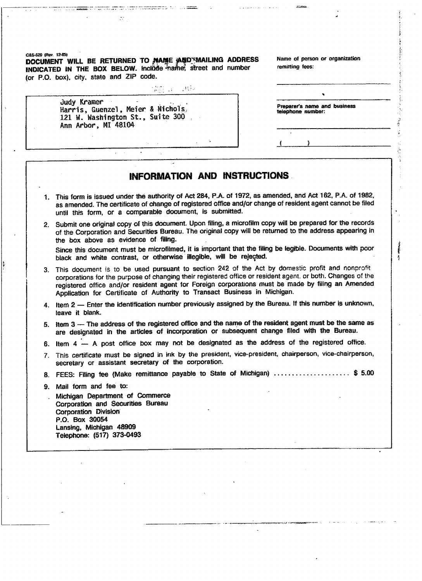C&S-S20 (Rev. 12-851 **DOCUMENT WILL BE RETURNED TO MAME AUDITMAILING ADDRESS** Name of person or organization **INDICATED IN THE BOX BELOW.** Include that the street and number remitting fees: (or P.O. box), city, state and ZIP code.

 $\frac{1}{2} \sum_{i=1}^n \frac{1}{2} \sum_{j=1}^n \frac{1}{2} \sum_{j=1}^n \frac{1}{2} \sum_{j=1}^n \frac{1}{2} \sum_{j=1}^n \frac{1}{2} \sum_{j=1}^n \frac{1}{2} \sum_{j=1}^n \frac{1}{2} \sum_{j=1}^n \frac{1}{2} \sum_{j=1}^n \frac{1}{2} \sum_{j=1}^n \frac{1}{2} \sum_{j=1}^n \frac{1}{2} \sum_{j=1}^n \frac{1}{2} \sum_{j=1}^n \frac{1}{2} \sum_{j=$ 

√ Reis

 $\frac{1}{2}$  and  $\frac{1}{2}$  . The second contract of the second contract of  $\mathcal{L}$  ,  $\mathcal{L}$  , and  $\mathcal{L}$  , and  $\mathcal{L}$  , and  $\mathcal{L}$  , and the second contract of the  $\mathcal{L}$  , and  $\mathcal{L}$ 

| Judy Kramer<br>Harris, Guenzel, Meier & Nichols,<br>121 W. Washington St., Suite 300<br>Ann Arbor, MI 48104 | Preparer's<br>telephone ( |
|-------------------------------------------------------------------------------------------------------------|---------------------------|
|                                                                                                             |                           |
|                                                                                                             |                           |

 $\ddot{\phantom{0}}$ 

Preparer's name and business<br>telephone number:

## **INFORMATION AND INSTRUCTIONS**

- 1. This form is issued under the authority of Act 284, P.A. of 1972, as amended, and Act 162, P.A. of 1982, as amended. The certificate of change of registered office and/or change of resident agent cannot be fifed until this form, or a comparable document, is submitted.
- 2. Submit one original copy of this document. Upon filing, a microfilm copy will be prepared for the records of the Corporation and Securities Bureau. The original copy will be returned to the address appearing in the box above as evidence of filing.

Since this document must be microfilmed, it is important that the filing be legible. Documents with poor black and white contrast, or otherwise illegible, will be rejected.

- 3. This document is to be used pursuant to section 242 of the Act by domestic profit and nonprofit corporations for the purpose of changing their registered office or resident agent, or both. Changes of the registered office and/or resident agent for Foreign corporations must be made by filing an Amended Application for Certificate of Authority to Transact Business in Michigan.
- 4. Item 2 Enter the identification number previously assigned by the Bureau, tf this number is unknown, leave it blank.
- 5. item 3 The address of the registered office and the name of the resident agent must be the same as are designated in the articles of incorporation or subsequent change filed with the Bureau.
- 6. Item 4 A post office box may not be designated as the address of the registered office.
- 7. This certificate must be signed in ink by the president, vice-president, chairperson, vice-chairperson, secretary or assistant secretary of the corporation.
- 8. FEES: Filing fee (Make remittance payable to State of Michigan) ......................\$ 5.00
- 9. Mail form and fee to:
- . Michigan Department of Commerce Corporation and Securities Bureau Corporation Division P.O. Box 30054 Lansing, Michigan 48909 Telephone: (517) 373-0493